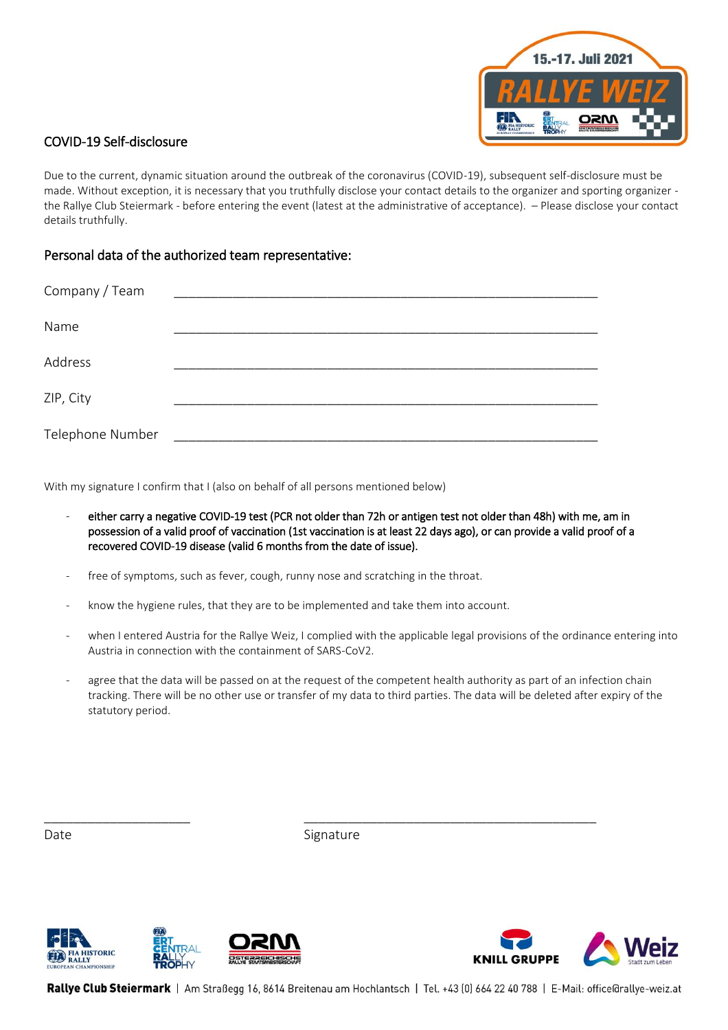

## COVID-19 Self-disclosure

Due to the current, dynamic situation around the outbreak of the coronavirus (COVID-19), subsequent self-disclosure must be made. Without exception, it is necessary that you truthfully disclose your contact details to the organizer and sporting organizer the Rallye Club Steiermark - before entering the event (latest at the administrative of acceptance). – Please disclose your contact details truthfully.

## Personal data of the authorized team representative:

| Company / Team   |  |
|------------------|--|
| Name             |  |
| Address          |  |
| ZIP, City        |  |
| Telephone Number |  |

With my signature I confirm that I (also on behalf of all persons mentioned below)

- either carry a negative COVID-19 test (PCR not older than 72h or antigen test not older than 48h) with me, am in possession of a valid proof of vaccination (1st vaccination is at least 22 days ago), or can provide a valid proof of a recovered COVID-19 disease (valid 6 months from the date of issue).
- free of symptoms, such as fever, cough, runny nose and scratching in the throat.
- know the hygiene rules, that they are to be implemented and take them into account.
- when I entered Austria for the Rallye Weiz, I complied with the applicable legal provisions of the ordinance entering into Austria in connection with the containment of SARS-CoV2.
- agree that the data will be passed on at the request of the competent health authority as part of an infection chain tracking. There will be no other use or transfer of my data to third parties. The data will be deleted after expiry of the statutory period.

Date Signature

\_\_\_\_\_\_\_\_\_\_\_\_\_\_\_\_\_\_\_\_ \_\_\_\_\_\_\_\_\_\_\_\_\_\_\_\_\_\_\_\_\_\_\_\_\_\_\_\_\_\_\_\_\_\_\_\_\_\_\_\_





Rallye Club Steiermark | Am Straßegg 16, 8614 Breitenau am Hochlantsch | Tel. +43 (0) 664 22 40 788 | E-Mail: office@rallye-weiz.at